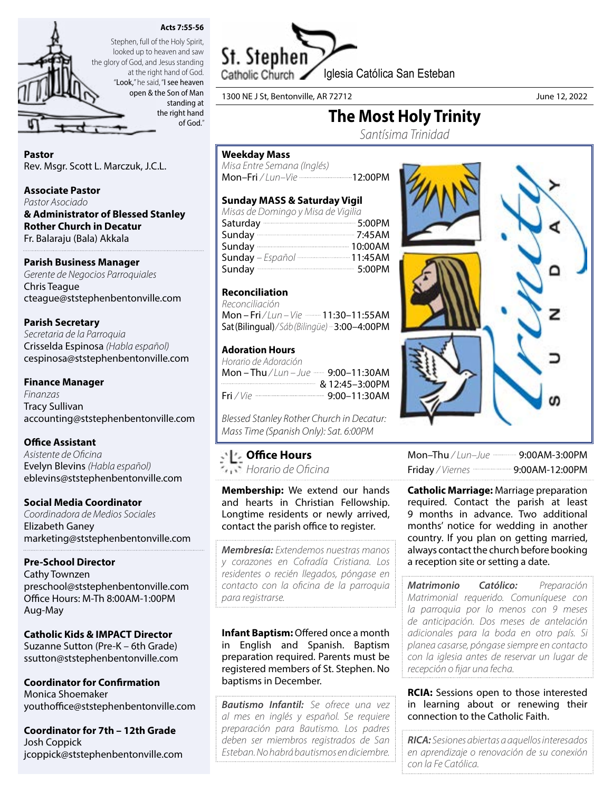



looked up to heaven and saw the glory of God, and Jesus standing at the right hand of God. "Look," he said, "I see heaven

open & the Son of Man standing at the right hand of God."

# Pastor

Rev. Msgr. Scott L. Marczuk, J.C.L.

## Associate Pastor

*Pastor Asociado* & Administrator of Blessed Stanley Rother Church in Decatur Fr. Balaraju (Bala) Akkala

# Parish Business Manager

*Gerente de Negocios Parroquiales* Chris Teague cteague@ststephenbentonville.com

# Parish Secretary

*Secretaria de la Parroquia* Crisselda Espinosa *(Habla español)* cespinosa@ststephenbentonville.com

# Finance Manager

*Finanzas* Tracy Sullivan accounting@ststephenbentonville.com

# Office Assistant

*Asistente de Oficina* Evelyn Blevins *(Habla español)* eblevins@ststephenbentonville.com

# Social Media Coordinator

*Coordinadora de Medios Sociales* Elizabeth Ganey marketing@ststephenbentonville.com

# Pre-School Director

Cathy Townzen preschool@ststephenbentonville.com Office Hours: M-Th 8:00AM-1:00PM Aug-May

# Catholic Kids & IMPACT Director

Suzanne Sutton (Pre-K – 6th Grade) ssutton@ststephenbentonville.com

Coordinator for Confirmation Monica Shoemaker youthoffice@ststephenbentonville.com

Coordinator for 7th – 12th Grade Josh Coppick jcoppick@ststephenbentonville.com



1300 NE J St, Bentonville, AR 72712 June 12, 2022

# The Most Holy Trinity

*Santísima Trinidad* 

# Weekday Mass

*Misa Entre Semana (Inglés)* Mon–Fri / Lun–Vie -----------------------------------12:00PM

# Sunday MASS & Saturday Vigil

| Misas de Domingo y Misa de Vigilia |  |
|------------------------------------|--|
| Saturday 3:00PM                    |  |
| Sunday 2:45AM                      |  |
|                                    |  |
| Sunday - Español  11:45AM          |  |
| Sunday 3:00PM                      |  |

# Reconciliation

*Reconciliación*  Mon – Fri / Lun – Vie **- 11:30–11:55AM** Sat (Bilingual)*/ Sáb (Bilingüe)* 3:00–4:00PM

# Adoration Hours

| Horario de Adoración                                    |
|---------------------------------------------------------|
|                                                         |
|                                                         |
| Fri / Vie -------------------------------- 9:00-11:30AM |

*Blessed Stanley Rother Church in Decatur: Mass Time (Spanish Only): Sat. 6:00PM*

# Office Hours

*Horario de Oficina*

Membership: We extend our hands and hearts in Christian Fellowship. Longtime residents or newly arrived, contact the parish office to register.

*Membresía: Extendemos nuestras manos y corazones en Cofradía Cristiana. Los residentes o recién llegados, póngase en contacto con la oficina de la parroquia para registrarse.*

Infant Baptism: Offered once a month in English and Spanish. Baptism preparation required. Parents must be registered members of St. Stephen. No baptisms in December.

*Bautismo Infantil: Se ofrece una vez al mes en inglés y español. Se requiere preparación para Bautismo. Los padres deben ser miembros registrados de San Esteban. No habrá bautismos en diciembre.*



| Mon-Thu / Lun-Jue ---------- 9:00AM-3:00PM        |
|---------------------------------------------------|
| Friday / Viernes <b>Commission 9:00AM-12:00PM</b> |

**Catholic Marriage: Marriage preparation** required. Contact the parish at least 9 months in advance. Two additional months' notice for wedding in another country. If you plan on getting married, always contact the church before booking a reception site or setting a date.

*Matrimonio Católico: Preparación Matrimonial requerido. Comuníquese con la parroquia por lo menos con 9 meses de anticipación. Dos meses de antelación adicionales para la boda en otro país. Si planea casarse, póngase siempre en contacto con la iglesia antes de reservar un lugar de recepción o fijar una fecha.*

**RCIA:** Sessions open to those interested in learning about or renewing their connection to the Catholic Faith.

*RICA: Sesiones abiertas a aquellos interesados en aprendizaje o renovación de su conexión con la Fe Católica.*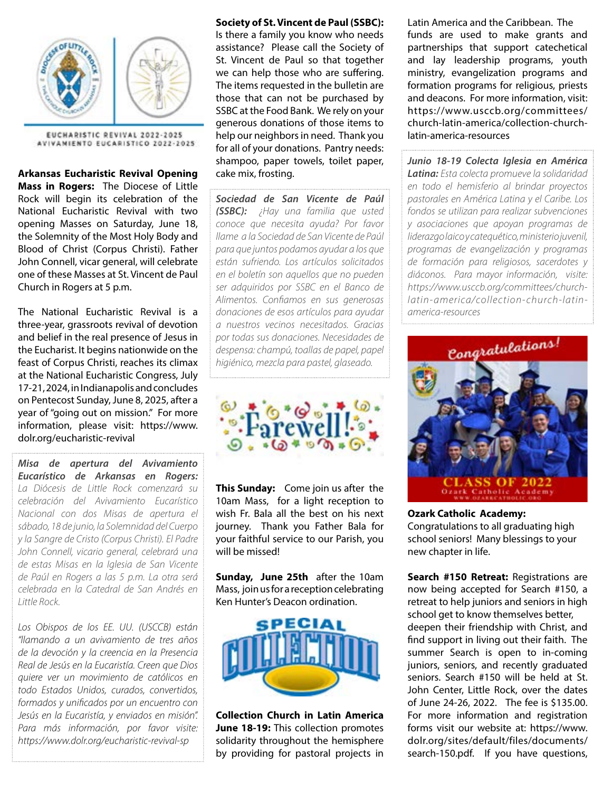

EUCHARISTIC REVIVAL 2022-2025 AVIVAMIENTO EUCARISTICO 2022-2025

Arkansas Eucharistic Revival Opening Mass in Rogers: The Diocese of Little Rock will begin its celebration of the National Eucharistic Revival with two opening Masses on Saturday, June 18, the Solemnity of the Most Holy Body and Blood of Christ (Corpus Christi). Father John Connell, vicar general, will celebrate one of these Masses at St. Vincent de Paul Church in Rogers at 5 p.m.

The National Eucharistic Revival is a three-year, grassroots revival of devotion and belief in the real presence of Jesus in the Eucharist. It begins nationwide on the feast of Corpus Christi, reaches its climax at the National Eucharistic Congress, July 17-21, 2024, in Indianapolis and concludes on Pentecost Sunday, June 8, 2025, after a year of "going out on mission." For more information, please visit: https://www. dolr.org/eucharistic-revival

*Misa de apertura del Avivamiento Eucarístico de Arkansas en Rogers: La Diócesis de Little Rock comenzará su celebración del Avivamiento Eucarístico Nacional con dos Misas de apertura el sábado, 18 de junio, la Solemnidad del Cuerpo y la Sangre de Cristo (Corpus Christi). El Padre John Connell, vicario general, celebrará una de estas Misas en la Iglesia de San Vicente de Paúl en Rogers a las 5 p.m. La otra será celebrada en la Catedral de San Andrés en Little Rock.* 

*Los Obispos de los EE. UU. (USCCB) están "llamando a un avivamiento de tres años de la devoción y la creencia en la Presencia Real de Jesús en la Eucaristía. Creen que Dios quiere ver un movimiento de católicos en todo Estados Unidos, curados, convertidos, formados y unificados por un encuentro con Jesús en la Eucaristía, y enviados en misión". Para más información, por favor visite: https://www.dolr.org/eucharistic-revival-sp*

### Society of St. Vincent de Paul (SSBC):

Is there a family you know who needs assistance? Please call the Society of St. Vincent de Paul so that together we can help those who are suffering. The items requested in the bulletin are those that can not be purchased by SSBC at the Food Bank. We rely on your generous donations of those items to help our neighbors in need. Thank you for all of your donations. Pantry needs: shampoo, paper towels, toilet paper, cake mix, frosting.

*Sociedad de San Vicente de Paúl (SSBC): ¿Hay una familia que usted conoce que necesita ayuda? Por favor llame a la Sociedad de San Vicente de Paúl para que juntos podamos ayudar a los que están sufriendo. Los artículos solicitados en el boletín son aquellos que no pueden ser adquiridos por SSBC en el Banco de Alimentos. Confiamos en sus generosas donaciones de esos artículos para ayudar a nuestros vecinos necesitados. Gracias por todas sus donaciones. Necesidades de despensa: champú, toallas de papel, papel higiénico, mezcla para pastel, glaseado.*



This Sunday: Come join us after the 10am Mass, for a light reception to wish Fr. Bala all the best on his next journey. Thank you Father Bala for your faithful service to our Parish, you will be missed!

Sunday, June 25th after the 10am Mass, join us for a reception celebrating Ken Hunter's Deacon ordination.



Collection Church in Latin America June 18-19: This collection promotes solidarity throughout the hemisphere by providing for pastoral projects in Latin America and the Caribbean. The funds are used to make grants and partnerships that support catechetical and lay leadership programs, youth ministry, evangelization programs and formation programs for religious, priests and deacons. For more information, visit: https://www.usccb.org/committees/ church-latin-america/collection-churchlatin-america-resources

*Junio 18-19 Colecta Iglesia en América Latina: Esta colecta promueve la solidaridad en todo el hemisferio al brindar proyectos pastorales en América Latina y el Caribe. Los fondos se utilizan para realizar subvenciones y asociaciones que apoyan programas de liderazgo laico y catequético, ministerio juvenil, programas de evangelización y programas de formación para religiosos, sacerdotes y diáconos. Para mayor información, visite: https://www.usccb.org/committees/churchlatin-america/collection-church-latinamerica-resources*



Ozark Catholic Academy: Congratulations to all graduating high school seniors! Many blessings to your new chapter in life.

Search #150 Retreat: Registrations are now being accepted for Search #150, a retreat to help juniors and seniors in high school get to know themselves better, deepen their friendship with Christ, and find support in living out their faith. The summer Search is open to in-coming juniors, seniors, and recently graduated seniors. Search #150 will be held at St. John Center, Little Rock, over the dates of June 24-26, 2022. The fee is \$135.00. For more information and registration forms visit our website at: https://www. dolr.org/sites/default/files/documents/ search-150.pdf. If you have questions,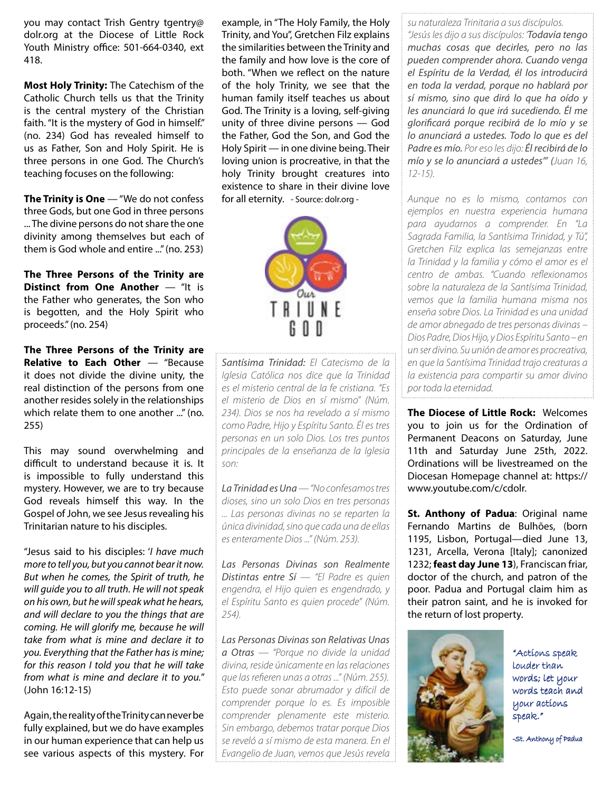you may contact Trish Gentry tgentry@ dolr.org at the Diocese of Little Rock Youth Ministry office: 501-664-0340, ext 418.

Most Holy Trinity: The Catechism of the Catholic Church tells us that the Trinity is the central mystery of the Christian faith. "It is the mystery of God in himself." (no. 234) God has revealed himself to us as Father, Son and Holy Spirit. He is three persons in one God. The Church's teaching focuses on the following:

The Trinity is One  $-$  "We do not confess three Gods, but one God in three persons ... The divine persons do not share the one divinity among themselves but each of them is God whole and entire ..." (no. 253)

The Three Persons of the Trinity are Distinct from One Another — "It is the Father who generates, the Son who is begotten, and the Holy Spirit who proceeds." (no. 254)

The Three Persons of the Trinity are Relative to Each Other - "Because it does not divide the divine unity, the real distinction of the persons from one another resides solely in the relationships which relate them to one another ..." (no. 255)

This may sound overwhelming and difficult to understand because it is. It is impossible to fully understand this mystery. However, we are to try because God reveals himself this way. In the Gospel of John, we see Jesus revealing his Trinitarian nature to his disciples.

"Jesus said to his disciples: '*I have much more to tell you, but you cannot bear it now. But when he comes, the Spirit of truth, he will guide you to all truth. He will not speak on his own, but he will speak what he hears, and will declare to you the things that are coming. He will glorify me, because he will take from what is mine and declare it to you. Everything that the Father has is mine; for this reason I told you that he will take from what is mine and declare it to you.*" (John 16:12-15)

Again, the reality of the Trinity can never be fully explained, but we do have examples in our human experience that can help us see various aspects of this mystery. For

example, in "The Holy Family, the Holy Trinity, and You", Gretchen Filz explains the similarities between the Trinity and the family and how love is the core of both. "When we reflect on the nature of the holy Trinity, we see that the human family itself teaches us about God. The Trinity is a loving, self-giving unity of three divine persons — God the Father, God the Son, and God the Holy Spirit — in one divine being. Their loving union is procreative, in that the holy Trinity brought creatures into existence to share in their divine love for all eternity. - Source: dolr.org -



*Santísima Trinidad: El Catecismo de la Iglesia Católica nos dice que la Trinidad es el misterio central de la fe cristiana. "Es el misterio de Dios en sí mismo" (Núm. 234). Dios se nos ha revelado a sí mismo como Padre, Hijo y Espíritu Santo. Él es tres personas en un solo Dios. Los tres puntos principales de la enseñanza de la Iglesia son:*

*La Trinidad es Una — "No confesamos tres dioses, sino un solo Dios en tres personas ... Las personas divinas no se reparten la única divinidad, sino que cada una de ellas es enteramente Dios ..." (Núm. 253).*

*Las Personas Divinas son Realmente Distintas entre Sí — "El Padre es quien engendra, el Hijo quien es engendrado, y el Espíritu Santo es quien procede" (Núm. 254).*

*Las Personas Divinas son Relativas Unas a Otras — "Porque no divide la unidad divina, reside únicamente en las relaciones que las refieren unas a otras ..." (Núm. 255). Esto puede sonar abrumador y difícil de comprender porque lo es. Es imposible comprender plenamente este misterio. Sin embargo, debemos tratar porque Dios se reveló a sí mismo de esta manera. En el Evangelio de Juan, vemos que Jesús revela* 

*su naturaleza Trinitaria a sus discípulos. "Jesús les dijo a sus discípulos: 'Todavía tengo muchas cosas que decirles, pero no las pueden comprender ahora. Cuando venga el Espíritu de la Verdad, él los introducirá en toda la verdad, porque no hablará por sí mismo, sino que dirá lo que ha oído y les anunciará lo que irá sucediendo. Él me glorificará porque recibirá de lo mío y se lo anunciará a ustedes. Todo lo que es del Padre es mío. Por eso les dijo: Él recibirá de lo mío y se lo anunciará a ustedes'" (Juan 16, 12-15).*

*Aunque no es lo mismo, contamos con ejemplos en nuestra experiencia humana para ayudarnos a comprender. En "La Sagrada Familia, la Santísima Trinidad, y Tú", Gretchen Filz explica las semejanzas entre la Trinidad y la familia y cómo el amor es el centro de ambas. "Cuando reflexionamos sobre la naturaleza de la Santísima Trinidad, vemos que la familia humana misma nos enseña sobre Dios. La Trinidad es una unidad de amor abnegado de tres personas divinas – Dios Padre, Dios Hijo, y Dios Espíritu Santo – en un ser divino. Su unión de amor es procreativa, en que la Santísima Trinidad trajo creaturas a la existencia para compartir su amor divino por toda la eternidad.*

The Diocese of Little Rock: Welcomes you to join us for the Ordination of Permanent Deacons on Saturday, June 11th and Saturday June 25th, 2022. Ordinations will be livestreamed on the Diocesan Homepage channel at: https:// www.youtube.com/c/cdolr.

St. Anthony of Padua: Original name Fernando Martins de Bulhões, (born 1195, Lisbon, Portugal—died June 13, 1231, Arcella, Verona [Italy]; canonized 1232; feast day June 13), Franciscan friar, doctor of the church, and patron of the poor. Padua and Portugal claim him as their patron saint, and he is invoked for the return of lost property.



"Actions speak louder than words; let your words teach and your actions speak."

-St. Anthony of Padua